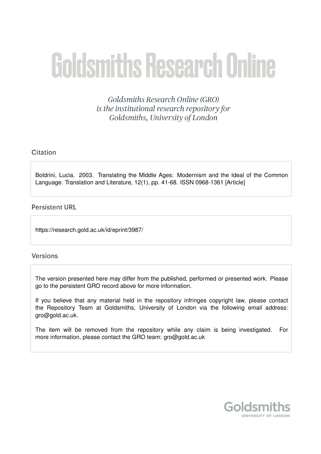# **Goldsmiths Research Online**

Goldsmiths Research Online (GRO) is the institutional research repository for Goldsmiths, University of London

# Citation

Boldrini, Lucia. 2003. Translating the Middle Ages: Modernism and the Ideal of the Common Language. Translation and Literature, 12(1), pp. 41-68. ISSN 0968-1361 [Article]

# **Persistent URL**

https://research.gold.ac.uk/id/eprint/3987/

# **Versions**

The version presented here may differ from the published, performed or presented work. Please go to the persistent GRO record above for more information.

If you believe that any material held in the repository infringes copyright law, please contact the Repository Team at Goldsmiths, University of London via the following email address: gro@gold.ac.uk.

The item will be removed from the repository while any claim is being investigated. For more information, please contact the GRO team: gro@gold.ac.uk

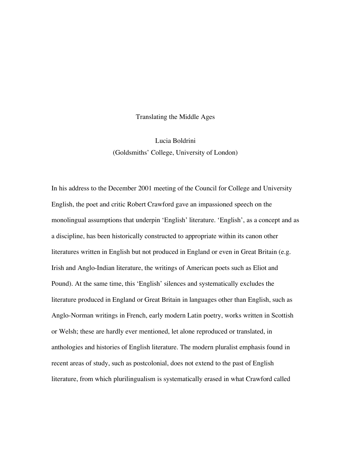Translating the Middle Ages

Lucia Boldrini (Goldsmiths' College, University of London)

In his address to the December 2001 meeting of the Council for College and University English, the poet and critic Robert Crawford gave an impassioned speech on the monolingual assumptions that underpin 'English' literature. 'English', as a concept and as a discipline, has been historically constructed to appropriate within its canon other literatures written in English but not produced in England or even in Great Britain (e.g. Irish and Anglo-Indian literature, the writings of American poets such as Eliot and Pound). At the same time, this 'English' silences and systematically excludes the literature produced in England or Great Britain in languages other than English, such as Anglo-Norman writings in French, early modern Latin poetry, works written in Scottish or Welsh; these are hardly ever mentioned, let alone reproduced or translated, in anthologies and histories of English literature. The modern pluralist emphasis found in recent areas of study, such as postcolonial, does not extend to the past of English literature, from which plurilingualism is systematically erased in what Crawford called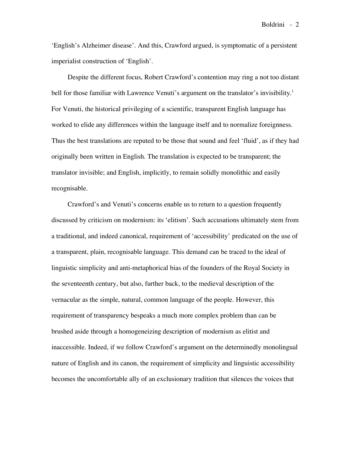'English's Alzheimer disease'. And this, Crawford argued, is symptomatic of a persistent imperialist construction of 'English'.

Despite the different focus, Robert Crawford's contention may ring a not too distant bell for those familiar with Lawrence Venuti's argument on the translator's invisibility.<sup>1</sup> For Venuti, the historical privileging of a scientific, transparent English language has worked to elide any differences within the language itself and to normalize foreignness. Thus the best translations are reputed to be those that sound and feel 'fluid', as if they had originally been written in English. The translation is expected to be transparent; the translator invisible; and English, implicitly, to remain solidly monolithic and easily recognisable.

Crawford's and Venuti's concerns enable us to return to a question frequently discussed by criticism on modernism: its 'elitism'. Such accusations ultimately stem from a traditional, and indeed canonical, requirement of 'accessibility' predicated on the use of a transparent, plain, recognisable language. This demand can be traced to the ideal of linguistic simplicity and anti-metaphorical bias of the founders of the Royal Society in the seventeenth century, but also, further back, to the medieval description of the vernacular as the simple, natural, common language of the people. However, this requirement of transparency bespeaks a much more complex problem than can be brushed aside through a homogeneizing description of modernism as elitist and inaccessible. Indeed, if we follow Crawford's argument on the determinedly monolingual nature of English and its canon, the requirement of simplicity and linguistic accessibility becomes the uncomfortable ally of an exclusionary tradition that silences the voices that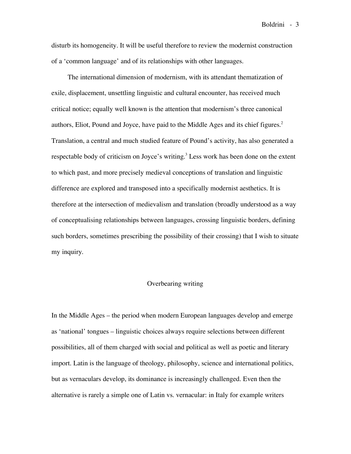disturb its homogeneity. It will be useful therefore to review the modernist construction of a 'common language' and of its relationships with other languages.

The international dimension of modernism, with its attendant thematization of exile, displacement, unsettling linguistic and cultural encounter, has received much critical notice; equally well known is the attention that modernism's three canonical authors, Eliot, Pound and Joyce, have paid to the Middle Ages and its chief figures.<sup>2</sup> Translation, a central and much studied feature of Pound's activity, has also generated a respectable body of criticism on Joyce's writing.<sup>3</sup> Less work has been done on the extent to which past, and more precisely medieval conceptions of translation and linguistic difference are explored and transposed into a specifically modernist aesthetics. It is therefore at the intersection of medievalism and translation (broadly understood as a way of conceptualising relationships between languages, crossing linguistic borders, defining such borders, sometimes prescribing the possibility of their crossing) that I wish to situate my inquiry.

### Overbearing writing

In the Middle Ages – the period when modern European languages develop and emerge as 'national' tongues – linguistic choices always require selections between different possibilities, all of them charged with social and political as well as poetic and literary import. Latin is the language of theology, philosophy, science and international politics, but as vernaculars develop, its dominance is increasingly challenged. Even then the alternative is rarely a simple one of Latin vs. vernacular: in Italy for example writers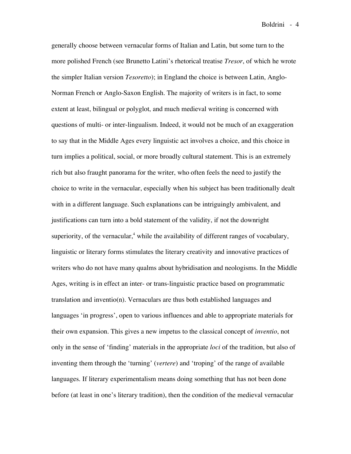generally choose between vernacular forms of Italian and Latin, but some turn to the more polished French (see Brunetto Latini's rhetorical treatise *Tresor*, of which he wrote the simpler Italian version *Tesoretto*); in England the choice is between Latin, Anglo-Norman French or Anglo-Saxon English. The majority of writers is in fact, to some extent at least, bilingual or polyglot, and much medieval writing is concerned with questions of multi- or inter-lingualism. Indeed, it would not be much of an exaggeration to say that in the Middle Ages every linguistic act involves a choice, and this choice in turn implies a political, social, or more broadly cultural statement. This is an extremely rich but also fraught panorama for the writer, who often feels the need to justify the choice to write in the vernacular, especially when his subject has been traditionally dealt with in a different language. Such explanations can be intriguingly ambivalent, and justifications can turn into a bold statement of the validity, if not the downright superiority, of the vernacular,<sup>4</sup> while the availability of different ranges of vocabulary, linguistic or literary forms stimulates the literary creativity and innovative practices of writers who do not have many qualms about hybridisation and neologisms. In the Middle Ages, writing is in effect an inter- or trans-linguistic practice based on programmatic translation and inventio(n). Vernaculars are thus both established languages and languages 'in progress', open to various influences and able to appropriate materials for their own expansion. This gives a new impetus to the classical concept of *inventio*, not only in the sense of 'finding' materials in the appropriate *loci* of the tradition, but also of inventing them through the 'turning' (*vertere*) and 'troping' of the range of available languages. If literary experimentalism means doing something that has not been done before (at least in one's literary tradition), then the condition of the medieval vernacular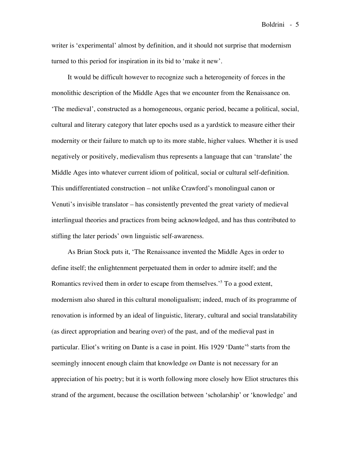writer is 'experimental' almost by definition, and it should not surprise that modernism turned to this period for inspiration in its bid to 'make it new'.

It would be difficult however to recognize such a heterogeneity of forces in the monolithic description of the Middle Ages that we encounter from the Renaissance on. 'The medieval', constructed as a homogeneous, organic period, became a political, social, cultural and literary category that later epochs used as a yardstick to measure either their modernity or their failure to match up to its more stable, higher values. Whether it is used negatively or positively, medievalism thus represents a language that can 'translate' the Middle Ages into whatever current idiom of political, social or cultural self-definition. This undifferentiated construction – not unlike Crawford's monolingual canon or Venuti's invisible translator – has consistently prevented the great variety of medieval interlingual theories and practices from being acknowledged, and has thus contributed to stifling the later periods' own linguistic self-awareness.

As Brian Stock puts it, 'The Renaissance invented the Middle Ages in order to define itself; the enlightenment perpetuated them in order to admire itself; and the Romantics revived them in order to escape from themselves.<sup>5</sup> To a good extent, modernism also shared in this cultural monoligualism; indeed, much of its programme of renovation is informed by an ideal of linguistic, literary, cultural and social translatability (as direct appropriation and bearing over) of the past, and of the medieval past in particular. Eliot's writing on Dante is a case in point. His 1929 'Dante' <sup>6</sup> starts from the seemingly innocent enough claim that knowledge *on* Dante is not necessary for an appreciation of his poetry; but it is worth following more closely how Eliot structures this strand of the argument, because the oscillation between 'scholarship' or 'knowledge' and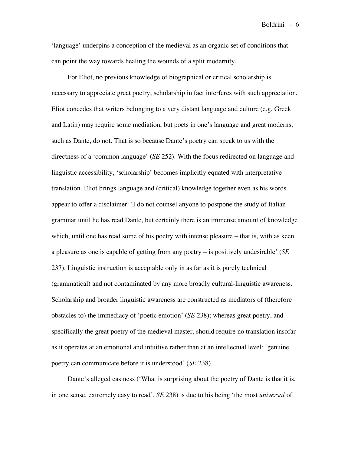'language' underpins a conception of the medieval as an organic set of conditions that can point the way towards healing the wounds of a split modernity.

For Eliot, no previous knowledge of biographical or critical scholarship is necessary to appreciate great poetry; scholarship in fact interferes with such appreciation. Eliot concedes that writers belonging to a very distant language and culture (e.g. Greek and Latin) may require some mediation, but poets in one's language and great moderns, such as Dante, do not. That is so because Dante's poetry can speak to us with the directness of a 'common language' (*SE* 252). With the focus redirected on language and linguistic accessibility, 'scholarship' becomes implicitly equated with interpretative translation. Eliot brings language and (critical) knowledge together even as his words appear to offer a disclaimer: 'I do not counsel anyone to postpone the study of Italian grammar until he has read Dante, but certainly there is an immense amount of knowledge which, until one has read some of his poetry with intense pleasure – that is, with as keen a pleasure as one is capable of getting from any poetry – is positively undesirable' (*SE* 237). Linguistic instruction is acceptable only in as far as it is purely technical (grammatical) and not contaminated by any more broadly cultural-linguistic awareness. Scholarship and broader linguistic awareness are constructed as mediators of (therefore obstacles to) the immediacy of 'poetic emotion' (*SE* 238); whereas great poetry, and specifically the great poetry of the medieval master, should require no translation insofar as it operates at an emotional and intuitive rather than at an intellectual level: 'genuine poetry can communicate before it is understood' (*SE* 238).

Dante's alleged easiness ('What is surprising about the poetry of Dante is that it is, in one sense, extremely easy to read', *SE* 238) is due to his being 'the most *universal* of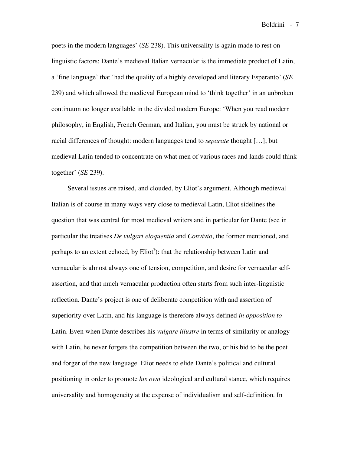poets in the modern languages' (*SE* 238). This universality is again made to rest on linguistic factors: Dante's medieval Italian vernacular is the immediate product of Latin, a 'fine language' that 'had the quality of a highly developed and literary Esperanto' (*SE* 239) and which allowed the medieval European mind to 'think together' in an unbroken continuum no longer available in the divided modern Europe: 'When you read modern philosophy, in English, French German, and Italian, you must be struck by national or racial differences of thought: modern languages tend to *separate* thought […]; but medieval Latin tended to concentrate on what men of various races and lands could think together' (*SE* 239).

Several issues are raised, and clouded, by Eliot's argument. Although medieval Italian is of course in many ways very close to medieval Latin, Eliot sidelines the question that was central for most medieval writers and in particular for Dante (see in particular the treatises *De vulgari eloquentia* and *Convivio*, the former mentioned, and perhaps to an extent echoed, by Eliot<sup>7</sup>): that the relationship between Latin and vernacular is almost always one of tension, competition, and desire for vernacular selfassertion, and that much vernacular production often starts from such inter-linguistic reflection. Dante's project is one of deliberate competition with and assertion of superiority over Latin, and his language is therefore always defined *in opposition to* Latin. Even when Dante describes his *vulgare illustre* in terms of similarity or analogy with Latin, he never forgets the competition between the two, or his bid to be the poet and forger of the new language. Eliot needs to elide Dante's political and cultural positioning in order to promote *his own* ideological and cultural stance, which requires universality and homogeneity at the expense of individualism and self-definition. In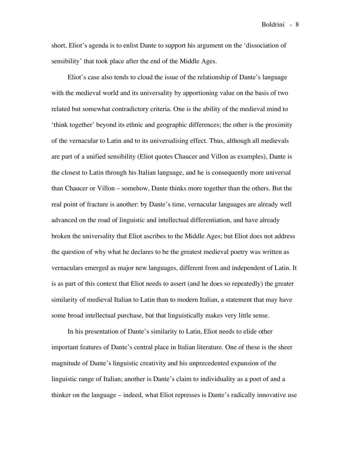short, Eliot's agenda is to enlist Dante to support his argument on the 'dissociation of sensibility' that took place after the end of the Middle Ages.

Eliot's case also tends to cloud the issue of the relationship of Dante's language with the medieval world and its universality by apportioning value on the basis of two related but somewhat contradictory criteria. One is the ability of the medieval mind to 'think together' beyond its ethnic and geographic differences; the other is the proximity of the vernacular to Latin and to its universalising effect. Thus, although all medievals are part of a unified sensibility (Eliot quotes Chaucer and Villon as examples), Dante is the closest to Latin through his Italian language, and he is consequently more universal than Chaucer or Villon – somehow, Dante thinks more together than the others. But the real point of fracture is another: by Dante's time, vernacular languages are already well advanced on the road of linguistic and intellectual differentiation, and have already broken the universality that Eliot ascribes to the Middle Ages; but Eliot does not address the question of why what he declares to be the greatest medieval poetry was written as vernaculars emerged as major new languages, different from and independent of Latin. It is as part of this context that Eliot needs to assert (and he does so repeatedly) the greater similarity of medieval Italian to Latin than to modern Italian, a statement that may have some broad intellectual purchase, but that linguistically makes very little sense.

In his presentation of Dante's similarity to Latin, Eliot needs to elide other important features of Dante's central place in Italian literature. One of these is the sheer magnitude of Dante's linguistic creativity and his unprecedented expansion of the linguistic range of Italian; another is Dante's claim to individuality as a poet of and a thinker on the language – indeed, what Eliot represses is Dante's radically innovative use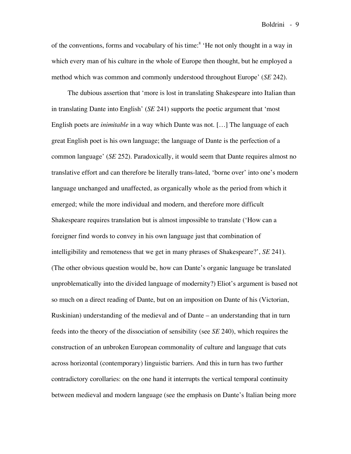of the conventions, forms and vocabulary of his time: <sup>8</sup> 'He not only thought in a way in which every man of his culture in the whole of Europe then thought, but he employed a method which was common and commonly understood throughout Europe' (*SE* 242).

The dubious assertion that 'more is lost in translating Shakespeare into Italian than in translating Dante into English' (*SE* 241) supports the poetic argument that 'most English poets are *inimitable* in a way which Dante was not. […] The language of each great English poet is his own language; the language of Dante is the perfection of a common language' (*SE* 252). Paradoxically, it would seem that Dante requires almost no translative effort and can therefore be literally trans-lated, 'borne over' into one's modern language unchanged and unaffected, as organically whole as the period from which it emerged; while the more individual and modern, and therefore more difficult Shakespeare requires translation but is almost impossible to translate ('How can a foreigner find words to convey in his own language just that combination of intelligibility and remoteness that we get in many phrases of Shakespeare?', *SE* 241). (The other obvious question would be, how can Dante's organic language be translated unproblematically into the divided language of modernity?) Eliot's argument is based not so much on a direct reading of Dante, but on an imposition on Dante of his (Victorian, Ruskinian) understanding of the medieval and of Dante – an understanding that in turn feeds into the theory of the dissociation of sensibility (see *SE* 240), which requires the construction of an unbroken European commonality of culture and language that cuts across horizontal (contemporary) linguistic barriers. And this in turn has two further contradictory corollaries: on the one hand it interrupts the vertical temporal continuity between medieval and modern language (see the emphasis on Dante's Italian being more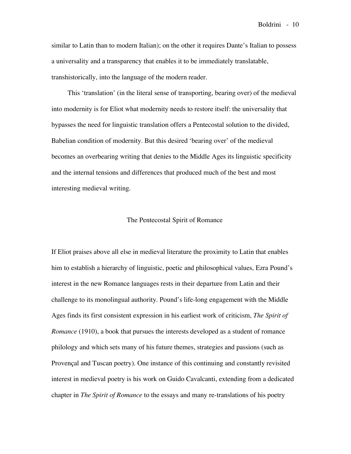similar to Latin than to modern Italian); on the other it requires Dante's Italian to possess a universality and a transparency that enables it to be immediately translatable, transhistorically, into the language of the modern reader.

This 'translation' (in the literal sense of transporting, bearing over) of the medieval into modernity is for Eliot what modernity needs to restore itself: the universality that bypasses the need for linguistic translation offers a Pentecostal solution to the divided, Babelian condition of modernity. But this desired 'bearing over' of the medieval becomes an overbearing writing that denies to the Middle Ages its linguistic specificity and the internal tensions and differences that produced much of the best and most interesting medieval writing.

### The Pentecostal Spirit of Romance

If Eliot praises above all else in medieval literature the proximity to Latin that enables him to establish a hierarchy of linguistic, poetic and philosophical values, Ezra Pound's interest in the new Romance languages rests in their departure from Latin and their challenge to its monolingual authority. Pound's life-long engagement with the Middle Ages finds its first consistent expression in his earliest work of criticism, *The Spirit of Romance* (1910), a book that pursues the interests developed as a student of romance philology and which sets many of his future themes, strategies and passions (such as Provençal and Tuscan poetry). One instance of this continuing and constantly revisited interest in medieval poetry is his work on Guido Cavalcanti, extending from a dedicated chapter in *The Spirit of Romance* to the essays and many re-translations of his poetry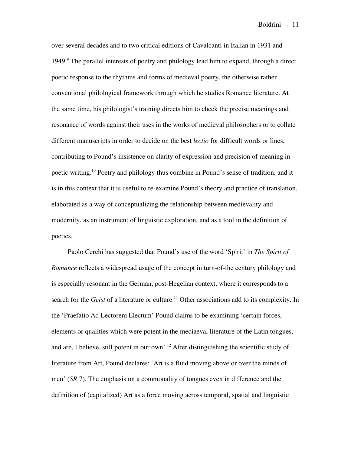over several decades and to two critical editions of Cavalcanti in Italian in 1931 and 1949.<sup>9</sup> The parallel interests of poetry and philology lead him to expand, through a direct poetic response to the rhythms and forms of medieval poetry, the otherwise rather conventional philological framework through which he studies Romance literature. At the same time, his philologist's training directs him to check the precise meanings and resonance of words against their uses in the works of medieval philosophers or to collate different manuscripts in order to decide on the best *lectio* for difficult words or lines, contributing to Pound's insistence on clarity of expression and precision of meaning in poetic writing.<sup>10</sup> Poetry and philology thus combine in Pound's sense of tradition, and it is in this context that it is useful to re-examine Pound's theory and practice of translation, elaborated as a way of conceptualizing the relationship between medievality and modernity, as an instrument of linguistic exploration, and as a tool in the definition of poetics.

Paolo Cerchi has suggested that Pound's use of the word 'Spirit' in *The Spirit of Romance* reflects a widespread usage of the concept in turn-of-the century philology and is especially resonant in the German, post-Hegelian context, where it corresponds to a search for the *Geist* of a literature or culture. <sup>11</sup> Other associations add to its complexity. In the 'Praefatio Ad Lectorem Electum' Pound claims to be examining 'certain forces, elements or qualities which were potent in the mediaeval literature of the Latin tongues, and are, I believe, still potent in our own'.<sup>12</sup> After distinguishing the scientific study of literature from Art, Pound declares: 'Art is a fluid moving above or over the minds of men' (*SR* 7). The emphasis on a commonality of tongues even in difference and the definition of (capitalized) Art as a force moving across temporal, spatial and linguistic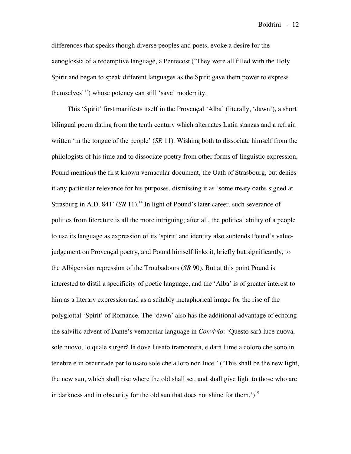differences that speaks though diverse peoples and poets, evoke a desire for the xenoglossia of a redemptive language, a Pentecost ('They were all filled with the Holy Spirit and began to speak different languages as the Spirit gave them power to express themselves<sup>'13</sup>) whose potency can still 'save' modernity.

This 'Spirit' first manifests itself in the Provençal 'Alba' (literally, 'dawn'), a short bilingual poem dating from the tenth century which alternates Latin stanzas and a refrain written 'in the tongue of the people' (*SR* 11). Wishing both to dissociate himself from the philologists of his time and to dissociate poetry from other forms of linguistic expression, Pound mentions the first known vernacular document, the Oath of Strasbourg, but denies it any particular relevance for his purposes, dismissing it as 'some treaty oaths signed at Strasburg in A.D. 841' (SR 11).<sup>14</sup> In light of Pound's later career, such severance of politics from literature is all the more intriguing; after all, the political ability of a people to use its language as expression of its 'spirit' and identity also subtends Pound's valuejudgement on Provençal poetry, and Pound himself links it, briefly but significantly, to the Albigensian repression of the Troubadours (*SR* 90). But at this point Pound is interested to distil a specificity of poetic language, and the 'Alba' is of greater interest to him as a literary expression and as a suitably metaphorical image for the rise of the polyglottal 'Spirit' of Romance. The 'dawn' also has the additional advantage of echoing the salvific advent of Dante's vernacular language in *Convivio*: 'Questo sarà luce nuova, sole nuovo, lo quale surgerà là dove l'usato tramonterà, e darà lume a coloro che sono in tenebre e in oscuritade per lo usato sole che a loro non luce.' ('This shall be the new light, the new sun, which shall rise where the old shall set, and shall give light to those who are in darkness and in obscurity for the old sun that does not shine for them.')<sup>15</sup>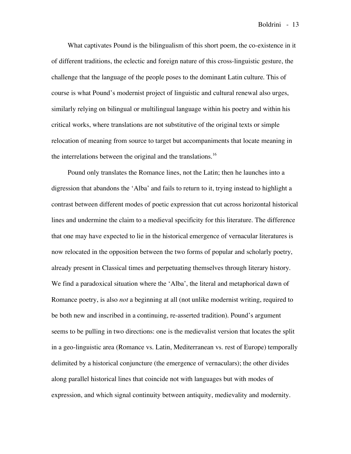What captivates Pound is the bilingualism of this short poem, the co-existence in it of different traditions, the eclectic and foreign nature of this cross-linguistic gesture, the challenge that the language of the people poses to the dominant Latin culture. This of course is what Pound's modernist project of linguistic and cultural renewal also urges, similarly relying on bilingual or multilingual language within his poetry and within his critical works, where translations are not substitutive of the original texts or simple relocation of meaning from source to target but accompaniments that locate meaning in the interrelations between the original and the translations.<sup>16</sup>

Pound only translates the Romance lines, not the Latin; then he launches into a digression that abandons the 'Alba' and fails to return to it, trying instead to highlight a contrast between different modes of poetic expression that cut across horizontal historical lines and undermine the claim to a medieval specificity for this literature. The difference that one may have expected to lie in the historical emergence of vernacular literatures is now relocated in the opposition between the two forms of popular and scholarly poetry, already present in Classical times and perpetuating themselves through literary history. We find a paradoxical situation where the 'Alba', the literal and metaphorical dawn of Romance poetry, is also *not* a beginning at all (not unlike modernist writing, required to be both new and inscribed in a continuing, re-asserted tradition). Pound's argument seems to be pulling in two directions: one is the medievalist version that locates the split in a geo-linguistic area (Romance vs. Latin, Mediterranean vs. rest of Europe) temporally delimited by a historical conjuncture (the emergence of vernaculars); the other divides along parallel historical lines that coincide not with languages but with modes of expression, and which signal continuity between antiquity, medievality and modernity.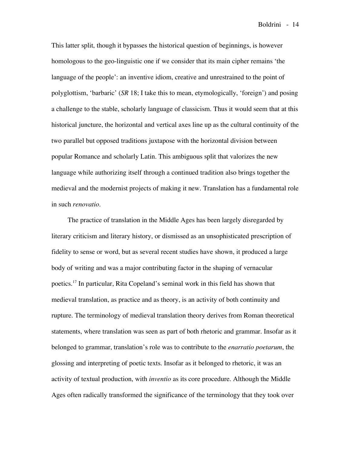This latter split, though it bypasses the historical question of beginnings, is however homologous to the geo-linguistic one if we consider that its main cipher remains 'the language of the people': an inventive idiom, creative and unrestrained to the point of polyglottism, 'barbaric' (*SR* 18; I take this to mean, etymologically, 'foreign') and posing a challenge to the stable, scholarly language of classicism. Thus it would seem that at this historical juncture, the horizontal and vertical axes line up as the cultural continuity of the two parallel but opposed traditions juxtapose with the horizontal division between popular Romance and scholarly Latin. This ambiguous split that valorizes the new language while authorizing itself through a continued tradition also brings together the medieval and the modernist projects of making it new. Translation has a fundamental role in such *renovatio*.

The practice of translation in the Middle Ages has been largely disregarded by literary criticism and literary history, or dismissed as an unsophisticated prescription of fidelity to sense or word, but as several recent studies have shown, it produced a large body of writing and was a major contributing factor in the shaping of vernacular poetics. <sup>17</sup> In particular, Rita Copeland's seminal work in this field has shown that medieval translation, as practice and as theory, is an activity of both continuity and rupture. The terminology of medieval translation theory derives from Roman theoretical statements, where translation was seen as part of both rhetoric and grammar. Insofar as it belonged to grammar, translation's role was to contribute to the *enarratio poetarum*, the glossing and interpreting of poetic texts. Insofar as it belonged to rhetoric, it was an activity of textual production, with *inventio* as its core procedure. Although the Middle Ages often radically transformed the significance of the terminology that they took over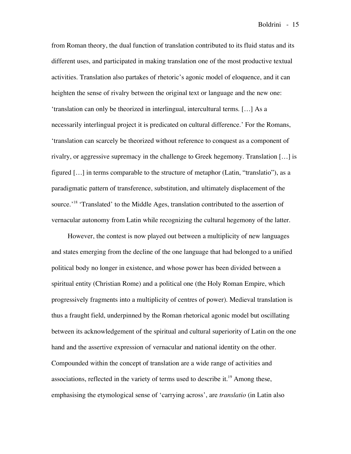from Roman theory, the dual function of translation contributed to its fluid status and its different uses, and participated in making translation one of the most productive textual activities. Translation also partakes of rhetoric's agonic model of eloquence, and it can heighten the sense of rivalry between the original text or language and the new one: 'translation can only be theorized in interlingual, intercultural terms. […] As a necessarily interlingual project it is predicated on cultural difference.' For the Romans, 'translation can scarcely be theorized without reference to conquest as a component of rivalry, or aggressive supremacy in the challenge to Greek hegemony. Translation […] is figured […] in terms comparable to the structure of metaphor (Latin, "translatio"), as a paradigmatic pattern of transference, substitution, and ultimately displacement of the source.<sup>'18</sup> 'Translated' to the Middle Ages, translation contributed to the assertion of vernacular autonomy from Latin while recognizing the cultural hegemony of the latter.

However, the contest is now played out between a multiplicity of new languages and states emerging from the decline of the one language that had belonged to a unified political body no longer in existence, and whose power has been divided between a spiritual entity (Christian Rome) and a political one (the Holy Roman Empire, which progressively fragments into a multiplicity of centres of power). Medieval translation is thus a fraught field, underpinned by the Roman rhetorical agonic model but oscillating between its acknowledgement of the spiritual and cultural superiority of Latin on the one hand and the assertive expression of vernacular and national identity on the other. Compounded within the concept of translation are a wide range of activities and associations, reflected in the variety of terms used to describe it.<sup>19</sup> Among these, emphasising the etymological sense of 'carrying across', are *translatio* (in Latin also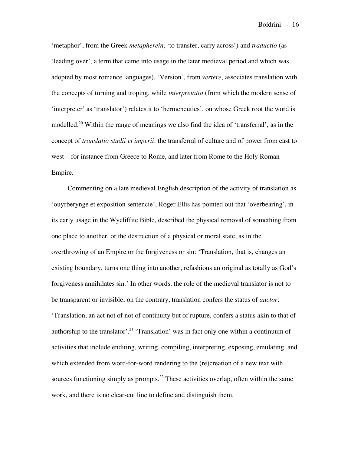'metaphor', from the Greek *metapherein*, 'to transfer, carry across') and *traductio* (as 'leading over', a term that came into usage in the later medieval period and which was adopted by most romance languages). 'Version', from *vertere*, associates translation with the concepts of turning and troping, while *interpretatio* (from which the modern sense of 'interpreter' as 'translator') relates it to 'hermeneutics', on whose Greek root the word is modelled.<sup>20</sup> Within the range of meanings we also find the idea of 'transferral', as in the concept of *translatio studii et imperii*: the transferral of culture and of power from east to west – for instance from Greece to Rome, and later from Rome to the Holy Roman Empire.

Commenting on a late medieval English description of the activity of translation as 'ouyrberynge et exposition sentencie', Roger Ellis has pointed out that 'overbearing', in its early usage in the Wycliffite Bible, described the physical removal of something from one place to another, or the destruction of a physical or moral state, as in the overthrowing of an Empire or the forgiveness or sin: 'Translation, that is, changes an existing boundary, turns one thing into another, refashions an original as totally as God's forgiveness annihilates sin.' In other words, the role of the medieval translator is not to be transparent or invisible; on the contrary, translation confers the status of *auctor*: 'Translation, an act not of not of continuity but of rupture, confers a status akin to that of authorship to the translator'.<sup>21</sup> 'Translation' was in fact only one within a continuum of activities that include enditing, writing, compiling, interpreting, exposing, emulating, and which extended from word-for-word rendering to the (re)creation of a new text with sources functioning simply as prompts.<sup>22</sup> These activities overlap, often within the same work, and there is no clear-cut line to define and distinguish them.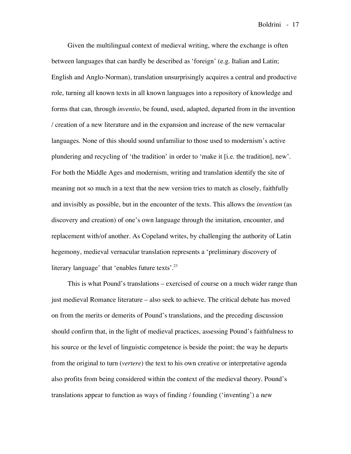Given the multilingual context of medieval writing, where the exchange is often between languages that can hardly be described as 'foreign' (e.g. Italian and Latin; English and Anglo-Norman), translation unsurprisingly acquires a central and productive role, turning all known texts in all known languages into a repository of knowledge and forms that can, through *inventio*, be found, used, adapted, departed from in the invention / creation of a new literature and in the expansion and increase of the new vernacular languages. None of this should sound unfamiliar to those used to modernism's active plundering and recycling of 'the tradition' in order to 'make it [i.e. the tradition], new'. For both the Middle Ages and modernism, writing and translation identify the site of meaning not so much in a text that the new version tries to match as closely, faithfully and invisibly as possible, but in the encounter of the texts. This allows the *invention* (as discovery and creation) of one's own language through the imitation, encounter, and replacement with/of another. As Copeland writes, by challenging the authority of Latin hegemony, medieval vernacular translation represents a 'preliminary discovery of literary language' that 'enables future texts'.<sup>23</sup>

This is what Pound's translations – exercised of course on a much wider range than just medieval Romance literature – also seek to achieve. The critical debate has moved on from the merits or demerits of Pound's translations, and the preceding discussion should confirm that, in the light of medieval practices, assessing Pound's faithfulness to his source or the level of linguistic competence is beside the point; the way he departs from the original to turn (*vertere*) the text to his own creative or interpretative agenda also profits from being considered within the context of the medieval theory. Pound's translations appear to function as ways of finding / founding ('inventing') a new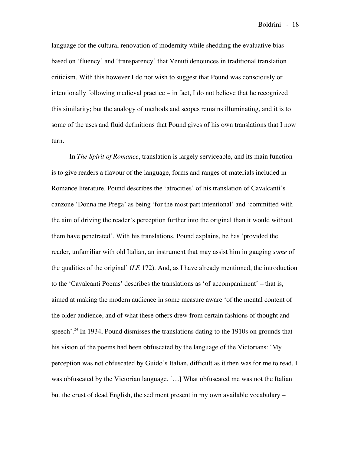language for the cultural renovation of modernity while shedding the evaluative bias based on 'fluency' and 'transparency' that Venuti denounces in traditional translation criticism. With this however I do not wish to suggest that Pound was consciously or intentionally following medieval practice – in fact, I do not believe that he recognized this similarity; but the analogy of methods and scopes remains illuminating, and it is to some of the uses and fluid definitions that Pound gives of his own translations that I now turn.

In *The Spirit of Romance*, translation is largely serviceable, and its main function is to give readers a flavour of the language, forms and ranges of materials included in Romance literature. Pound describes the 'atrocities' of his translation of Cavalcanti's canzone 'Donna me Prega' as being 'for the most part intentional' and 'committed with the aim of driving the reader's perception further into the original than it would without them have penetrated'. With his translations, Pound explains, he has 'provided the reader, unfamiliar with old Italian, an instrument that may assist him in gauging *some* of the qualities of the original' (*LE* 172). And, as I have already mentioned, the introduction to the 'Cavalcanti Poems' describes the translations as 'of accompaniment' – that is, aimed at making the modern audience in some measure aware 'of the mental content of the older audience, and of what these others drew from certain fashions of thought and speech'.<sup>24</sup> In 1934, Pound dismisses the translations dating to the 1910s on grounds that his vision of the poems had been obfuscated by the language of the Victorians: 'My perception was not obfuscated by Guido's Italian, difficult as it then was for me to read. I was obfuscated by the Victorian language. […] What obfuscated me was not the Italian but the crust of dead English, the sediment present in my own available vocabulary –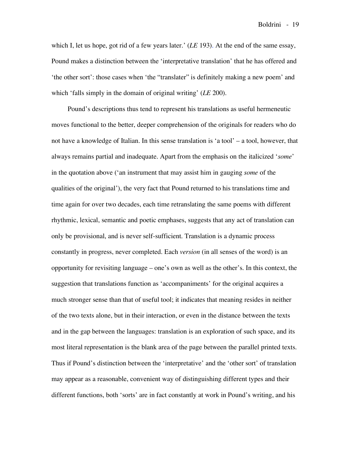which I, let us hope, got rid of a few years later.' (*LE* 193). At the end of the same essay, Pound makes a distinction between the 'interpretative translation' that he has offered and 'the other sort': those cases when 'the "translater" is definitely making a new poem' and which 'falls simply in the domain of original writing' (*LE* 200).

Pound's descriptions thus tend to represent his translations as useful hermeneutic moves functional to the better, deeper comprehension of the originals for readers who do not have a knowledge of Italian. In this sense translation is 'a tool' – a tool, however, that always remains partial and inadequate. Apart from the emphasis on the italicized '*some*' in the quotation above ('an instrument that may assist him in gauging *some* of the qualities of the original'), the very fact that Pound returned to his translations time and time again for over two decades, each time retranslating the same poems with different rhythmic, lexical, semantic and poetic emphases, suggests that any act of translation can only be provisional, and is never self-sufficient. Translation is a dynamic process constantly in progress, never completed. Each *version* (in all senses of the word) is an opportunity for revisiting language – one's own as well as the other's. In this context, the suggestion that translations function as 'accompaniments' for the original acquires a much stronger sense than that of useful tool; it indicates that meaning resides in neither of the two texts alone, but in their interaction, or even in the distance between the texts and in the gap between the languages: translation is an exploration of such space, and its most literal representation is the blank area of the page between the parallel printed texts. Thus if Pound's distinction between the 'interpretative' and the 'other sort' of translation may appear as a reasonable, convenient way of distinguishing different types and their different functions, both 'sorts' are in fact constantly at work in Pound's writing, and his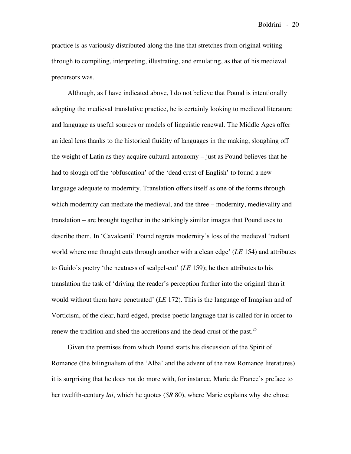practice is as variously distributed along the line that stretches from original writing through to compiling, interpreting, illustrating, and emulating, as that of his medieval precursors was.

Although, as I have indicated above, I do not believe that Pound is intentionally adopting the medieval translative practice, he is certainly looking to medieval literature and language as useful sources or models of linguistic renewal. The Middle Ages offer an ideal lens thanks to the historical fluidity of languages in the making, sloughing off the weight of Latin as they acquire cultural autonomy – just as Pound believes that he had to slough off the 'obfuscation' of the 'dead crust of English' to found a new language adequate to modernity. Translation offers itself as one of the forms through which modernity can mediate the medieval, and the three – modernity, medievality and translation – are brought together in the strikingly similar images that Pound uses to describe them. In 'Cavalcanti' Pound regrets modernity's loss of the medieval 'radiant world where one thought cuts through another with a clean edge' (*LE* 154) and attributes to Guido's poetry 'the neatness of scalpel-cut' (*LE* 159); he then attributes to his translation the task of 'driving the reader's perception further into the original than it would without them have penetrated' (*LE* 172). This is the language of Imagism and of Vorticism, of the clear, hard-edged, precise poetic language that is called for in order to renew the tradition and shed the accretions and the dead crust of the past.<sup>25</sup>

Given the premises from which Pound starts his discussion of the Spirit of Romance (the bilingualism of the 'Alba' and the advent of the new Romance literatures) it is surprising that he does not do more with, for instance, Marie de France's preface to her twelfth-century *lai*, which he quotes (*SR* 80), where Marie explains why she chose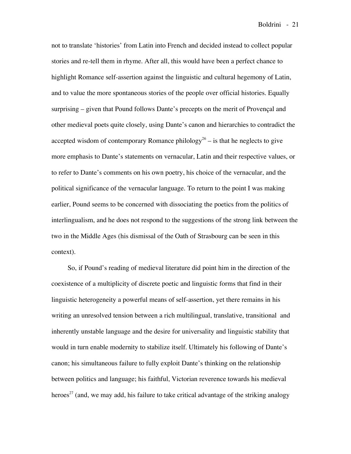not to translate 'histories' from Latin into French and decided instead to collect popular stories and re-tell them in rhyme. After all, this would have been a perfect chance to highlight Romance self-assertion against the linguistic and cultural hegemony of Latin, and to value the more spontaneous stories of the people over official histories. Equally surprising – given that Pound follows Dante's precepts on the merit of Provençal and other medieval poets quite closely, using Dante's canon and hierarchies to contradict the accepted wisdom of contemporary Romance philology<sup>26</sup> – is that he neglects to give more emphasis to Dante's statements on vernacular, Latin and their respective values, or to refer to Dante's comments on his own poetry, his choice of the vernacular, and the political significance of the vernacular language. To return to the point I was making earlier, Pound seems to be concerned with dissociating the poetics from the politics of interlingualism, and he does not respond to the suggestions of the strong link between the two in the Middle Ages (his dismissal of the Oath of Strasbourg can be seen in this context).

So, if Pound's reading of medieval literature did point him in the direction of the coexistence of a multiplicity of discrete poetic and linguistic forms that find in their linguistic heterogeneity a powerful means of self-assertion, yet there remains in his writing an unresolved tension between a rich multilingual, translative, transitional and inherently unstable language and the desire for universality and linguistic stability that would in turn enable modernity to stabilize itself. Ultimately his following of Dante's canon; his simultaneous failure to fully exploit Dante's thinking on the relationship between politics and language; his faithful, Victorian reverence towards his medieval heroes<sup>27</sup> (and, we may add, his failure to take critical advantage of the striking analogy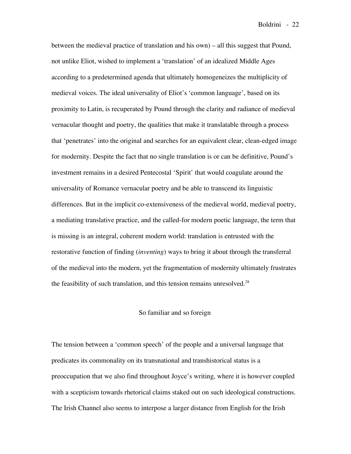between the medieval practice of translation and his own) – all this suggest that Pound, not unlike Eliot, wished to implement a 'translation' of an idealized Middle Ages according to a predetermined agenda that ultimately homogeneizes the multiplicity of medieval voices. The ideal universality of Eliot's 'common language', based on its proximity to Latin, is recuperated by Pound through the clarity and radiance of medieval vernacular thought and poetry, the qualities that make it translatable through a process that 'penetrates' into the original and searches for an equivalent clear, clean-edged image for modernity. Despite the fact that no single translation is or can be definitive, Pound's investment remains in a desired Pentecostal 'Spirit' that would coagulate around the universality of Romance vernacular poetry and be able to transcend its linguistic differences. But in the implicit co-extensiveness of the medieval world, medieval poetry, a mediating translative practice, and the called-for modern poetic language, the term that is missing is an integral, coherent modern world: translation is entrusted with the restorative function of finding (*inventing*) ways to bring it about through the transferral of the medieval into the modern, yet the fragmentation of modernity ultimately frustrates the feasibility of such translation, and this tension remains unresolved.<sup>28</sup>

### So familiar and so foreign

The tension between a 'common speech' of the people and a universal language that predicates its commonality on its transnational and transhistorical status is a preoccupation that we also find throughout Joyce's writing, where it is however coupled with a scepticism towards rhetorical claims staked out on such ideological constructions. The Irish Channel also seems to interpose a larger distance from English for the Irish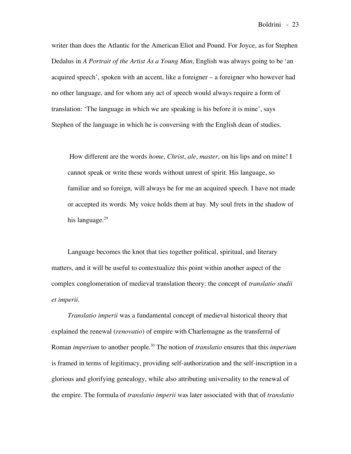writer than does the Atlantic for the American Eliot and Pound. For Joyce, as for Stephen Dedalus in *A Portrait of the Artist As a Young Man*, English was always going to be 'an acquired speech', spoken with an accent, like a foreigner – a foreigner who however had no other language, and for whom any act of speech would always require a form of translation: 'The language in which we are speaking is his before it is mine', says Stephen of the language in which he is conversing with the English dean of studies.

How different are the words *home*, *Christ*, *ale*, *master*, on his lips and on mine! I cannot speak or write these words without unrest of spirit. His language, so familiar and so foreign, will always be for me an acquired speech. I have not made or accepted its words. My voice holds them at bay. My soul frets in the shadow of his language. 29

Language becomes the knot that ties together political, spiritual, and literary matters, and it will be useful to contextualize this point within another aspect of the complex conglomeration of medieval translation theory: the concept of *translatio studii et imperii*.

*Translatio imperii* was a fundamental concept of medieval historical theory that explained the renewal (*renovatio*) of empire with Charlemagne as the transferral of Roman *imperium* to another people. <sup>30</sup> The notion of *translatio* ensures that this *imperium* is framed in terms of legitimacy, providing self-authorization and the self-inscription in a glorious and glorifying genealogy, while also attributing universality to the renewal of the empire. The formula of *translatio imperii* was later associated with that of *translatio*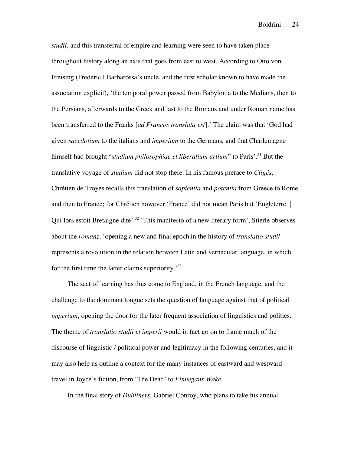*studii*, and this transferral of empire and learning were seen to have taken place throughout history along an axis that goes from east to west. According to Otto von Freising (Frederic I Barbarossa's uncle, and the first scholar known to have made the association explicit), 'the temporal power passed from Babylonia to the Medians, then to the Persians, afterwards to the Greek and last to the Romans and under Roman name has been transferred to the Franks [*ad Francos translata est*].' The claim was that 'God had given *sacedotium* to the italians and *imperium* to the Germans, and that Charlemagne himself had brought "*studium philosophiae et liberalium artium*" to Paris'. <sup>31</sup> But the translative voyage of *studium* did not stop there. In his famous preface to *Cligés*, Chrétien de Troyes recalls this translation of *sapientia* and *potentia* from Greece to Rome and then to France; for Chrétien however 'France' did not mean Paris but 'Engleterre. | Qui lors estoit Bretaigne dite'.<sup>32</sup> 'This manifesto of a new literary form', Stierle observes about the *romanz*, 'opening a new and final epoch in the history of *translatio studii* represents a revolution in the relation between Latin and vernacular language, in which for the first time the latter claims superiority.<sup>33</sup>

The seat of learning has thus come to England, in the French language, and the challenge to the dominant tongue sets the question of language against that of political *imperium*, opening the door for the later frequent association of linguistics and politics. The theme of *translatio studii et imperii* would in fact go on to frame much of the discourse of linguistic / political power and legitimacy in the following centuries, and it may also help us outline a context for the many instances of eastward and westward travel in Joyce's fiction, from 'The Dead' to *Finnegans Wake*.

In the final story of *Dubliners*, Gabriel Conroy, who plans to take his annual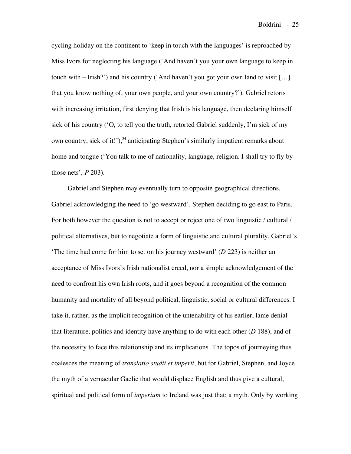cycling holiday on the continent to 'keep in touch with the languages' is reproached by Miss Ivors for neglecting his language ('And haven't you your own language to keep in touch with  $-$  Irish?') and his country ('And haven't you got your own land to visit [...] that you know nothing of, your own people, and your own country?'). Gabriel retorts with increasing irritation, first denying that Irish is his language, then declaring himself sick of his country ('O, to tell you the truth, retorted Gabriel suddenly, I'm sick of my own country, sick of it!'),<sup>34</sup> anticipating Stephen's similarly impatient remarks about home and tongue ('You talk to me of nationality, language, religion. I shall try to fly by those nets', *P* 203).

Gabriel and Stephen may eventually turn to opposite geographical directions, Gabriel acknowledging the need to 'go westward', Stephen deciding to go east to Paris. For both however the question is not to accept or reject one of two linguistic / cultural / political alternatives, but to negotiate a form of linguistic and cultural plurality. Gabriel's 'The time had come for him to set on his journey westward' (*D* 223) is neither an acceptance of Miss Ivors's Irish nationalist creed, nor a simple acknowledgement of the need to confront his own Irish roots, and it goes beyond a recognition of the common humanity and mortality of all beyond political, linguistic, social or cultural differences. I take it, rather, as the implicit recognition of the untenability of his earlier, lame denial that literature, politics and identity have anything to do with each other (*D* 188), and of the necessity to face this relationship and its implications. The topos of journeying thus coalesces the meaning of *translatio studii et imperii*, but for Gabriel, Stephen, and Joyce the myth of a vernacular Gaelic that would displace English and thus give a cultural, spiritual and political form of *imperium* to Ireland was just that: a myth. Only by working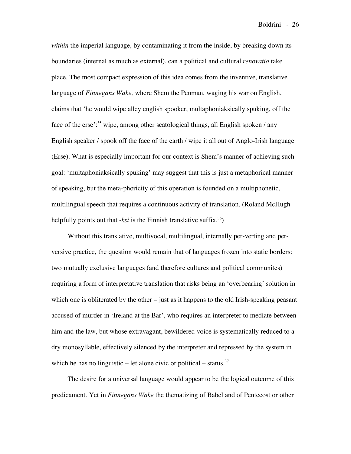*within* the imperial language, by contaminating it from the inside, by breaking down its boundaries (internal as much as external), can a political and cultural *renovatio* take place. The most compact expression of this idea comes from the inventive, translative language of *Finnegans Wake,* where Shem the Penman, waging his war on English, claims that 'he would wipe alley english spooker, multaphoniaksically spuking, off the face of the erse':<sup>35</sup> wipe, among other scatological things, all English spoken / any English speaker / spook off the face of the earth / wipe it all out of Anglo-Irish language (Erse). What is especially important for our context is Shem's manner of achieving such goal: 'multaphoniaksically spuking' may suggest that this is just a metaphorical manner of speaking, but the meta-phoricity of this operation is founded on a multiphonetic, multilingual speech that requires a continuous activity of translation. (Roland McHugh helpfully points out that *-ksi* is the Finnish translative suffix.<sup>36</sup>)

Without this translative, multivocal, multilingual, internally per-verting and perversive practice, the question would remain that of languages frozen into static borders: two mutually exclusive languages (and therefore cultures and political communites) requiring a form of interpretative translation that risks being an 'overbearing' solution in which one is obliterated by the other – just as it happens to the old Irish-speaking peasant accused of murder in 'Ireland at the Bar', who requires an interpreter to mediate between him and the law, but whose extravagant, bewildered voice is systematically reduced to a dry monosyllable, effectively silenced by the interpreter and repressed by the system in which he has no linguistic  $-$  let alone civic or political  $-$  status.<sup>37</sup>

The desire for a universal language would appear to be the logical outcome of this predicament. Yet in *Finnegans Wake* the thematizing of Babel and of Pentecost or other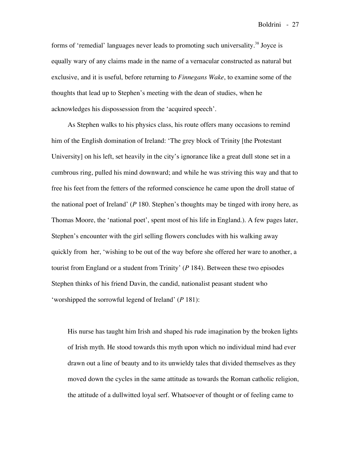forms of 'remedial' languages never leads to promoting such universality.<sup>38</sup> Joyce is equally wary of any claims made in the name of a vernacular constructed as natural but exclusive, and it is useful, before returning to *Finnegans Wake*, to examine some of the thoughts that lead up to Stephen's meeting with the dean of studies, when he acknowledges his dispossession from the 'acquired speech'.

As Stephen walks to his physics class, his route offers many occasions to remind him of the English domination of Ireland: 'The grey block of Trinity [the Protestant University] on his left, set heavily in the city's ignorance like a great dull stone set in a cumbrous ring, pulled his mind downward; and while he was striving this way and that to free his feet from the fetters of the reformed conscience he came upon the droll statue of the national poet of Ireland' (*P* 180. Stephen's thoughts may be tinged with irony here, as Thomas Moore, the 'national poet', spent most of his life in England.). A few pages later, Stephen's encounter with the girl selling flowers concludes with his walking away quickly from her, 'wishing to be out of the way before she offered her ware to another, a tourist from England or a student from Trinity' (*P* 184). Between these two episodes Stephen thinks of his friend Davin, the candid, nationalist peasant student who 'worshipped the sorrowful legend of Ireland' (*P* 181):

His nurse has taught him Irish and shaped his rude imagination by the broken lights of Irish myth. He stood towards this myth upon which no individual mind had ever drawn out a line of beauty and to its unwieldy tales that divided themselves as they moved down the cycles in the same attitude as towards the Roman catholic religion, the attitude of a dullwitted loyal serf. Whatsoever of thought or of feeling came to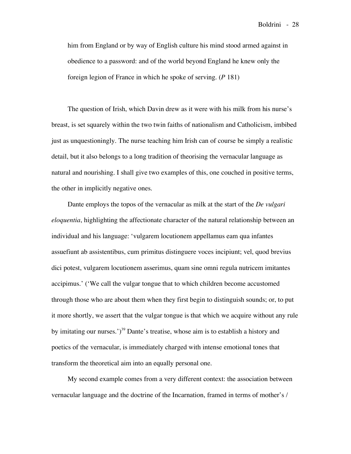him from England or by way of English culture his mind stood armed against in obedience to a password: and of the world beyond England he knew only the foreign legion of France in which he spoke of serving. (*P* 181)

The question of Irish, which Davin drew as it were with his milk from his nurse's breast, is set squarely within the two twin faiths of nationalism and Catholicism, imbibed just as unquestioningly. The nurse teaching him Irish can of course be simply a realistic detail, but it also belongs to a long tradition of theorising the vernacular language as natural and nourishing. I shall give two examples of this, one couched in positive terms, the other in implicitly negative ones.

Dante employs the topos of the vernacular as milk at the start of the *De vulgari eloquentia*, highlighting the affectionate character of the natural relationship between an individual and his language: 'vulgarem locutionem appellamus eam qua infantes assuefiunt ab assistentibus, cum primitus distinguere voces incipiunt; vel, quod brevius dici potest, vulgarem locutionem asserimus, quam sine omni regula nutricem imitantes accipimus.' ('We call the vulgar tongue that to which children become accustomed through those who are about them when they first begin to distinguish sounds; or, to put it more shortly, we assert that the vulgar tongue is that which we acquire without any rule by imitating our nurses.')<sup>39</sup> Dante's treatise, whose aim is to establish a history and poetics of the vernacular, is immediately charged with intense emotional tones that transform the theoretical aim into an equally personal one.

My second example comes from a very different context: the association between vernacular language and the doctrine of the Incarnation, framed in terms of mother's /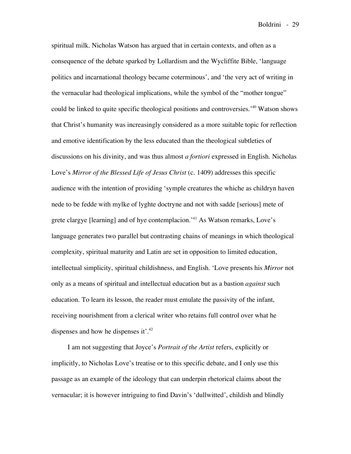spiritual milk. Nicholas Watson has argued that in certain contexts, and often as a consequence of the debate sparked by Lollardism and the Wycliffite Bible, 'language politics and incarnational theology became coterminous', and 'the very act of writing in the vernacular had theological implications, while the symbol of the "mother tongue" could be linked to quite specific theological positions and controversies.' <sup>40</sup> Watson shows that Christ's humanity was increasingly considered as a more suitable topic for reflection and emotive identification by the less educated than the theological subtleties of discussions on his divinity, and was thus almost *a fortiori* expressed in English. Nicholas Love's *Mirror of the Blessed Life of Jesus Christ* (c. 1409) addresses this specific audience with the intention of providing 'symple creatures the whiche as childryn haven nede to be fedde with mylke of lyghte doctryne and not with sadde [serious] mete of grete clargye [learning] and of hye contemplacion.' <sup>41</sup> As Watson remarks, Love's language generates two parallel but contrasting chains of meanings in which theological complexity, spiritual maturity and Latin are set in opposition to limited education, intellectual simplicity, spiritual childishness, and English. 'Love presents his *Mirror* not only as a means of spiritual and intellectual education but as a bastion *against* such education. To learn its lesson, the reader must emulate the passivity of the infant, receiving nourishment from a clerical writer who retains full control over what he dispenses and how he dispenses it'.<sup>42</sup>

I am not suggesting that Joyce's *Portrait of the Artist* refers, explicitly or implicitly, to Nicholas Love's treatise or to this specific debate, and I only use this passage as an example of the ideology that can underpin rhetorical claims about the vernacular; it is however intriguing to find Davin's 'dullwitted', childish and blindly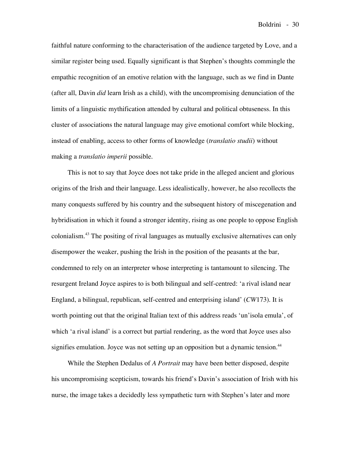faithful nature conforming to the characterisation of the audience targeted by Love, and a similar register being used. Equally significant is that Stephen's thoughts commingle the empathic recognition of an emotive relation with the language, such as we find in Dante (after all, Davin *did* learn Irish as a child), with the uncompromising denunciation of the limits of a linguistic mythification attended by cultural and political obtuseness. In this cluster of associations the natural language may give emotional comfort while blocking, instead of enabling, access to other forms of knowledge (*translatio studii*) without making a *translatio imperii* possible.

This is not to say that Joyce does not take pride in the alleged ancient and glorious origins of the Irish and their language. Less idealistically, however, he also recollects the many conquests suffered by his country and the subsequent history of miscegenation and hybridisation in which it found a stronger identity, rising as one people to oppose English colonialism. <sup>43</sup> The positing of rival languages as mutually exclusive alternatives can only disempower the weaker, pushing the Irish in the position of the peasants at the bar, condemned to rely on an interpreter whose interpreting is tantamount to silencing. The resurgent Ireland Joyce aspires to is both bilingual and self-centred: 'a rival island near England, a bilingual, republican, self-centred and enterprising island' (*CW*173). It is worth pointing out that the original Italian text of this address reads 'un'isola emula', of which 'a rival island' is a correct but partial rendering, as the word that Joyce uses also signifies emulation. Joyce was not setting up an opposition but a dynamic tension.<sup>44</sup>

While the Stephen Dedalus of *A Portrait* may have been better disposed, despite his uncompromising scepticism, towards his friend's Davin's association of Irish with his nurse, the image takes a decidedly less sympathetic turn with Stephen's later and more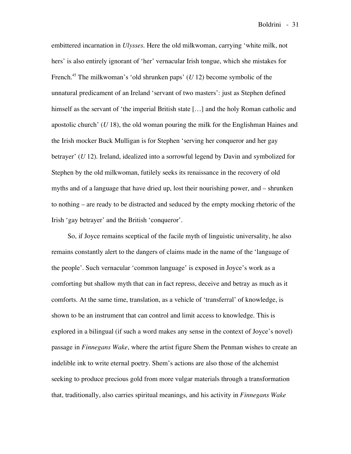embittered incarnation in *Ulysses*. Here the old milkwoman, carrying 'white milk, not hers' is also entirely ignorant of 'her' vernacular Irish tongue, which she mistakes for French.45 The milkwoman's 'old shrunken paps' (*U* 12) become symbolic of the unnatural predicament of an Ireland 'servant of two masters': just as Stephen defined himself as the servant of 'the imperial British state [...] and the holy Roman catholic and apostolic church' (*U* 18), the old woman pouring the milk for the Englishman Haines and the Irish mocker Buck Mulligan is for Stephen 'serving her conqueror and her gay betrayer' (*U* 12). Ireland, idealized into a sorrowful legend by Davin and symbolized for Stephen by the old milkwoman, futilely seeks its renaissance in the recovery of old myths and of a language that have dried up, lost their nourishing power, and – shrunken to nothing – are ready to be distracted and seduced by the empty mocking rhetoric of the Irish 'gay betrayer' and the British 'conqueror'.

So, if Joyce remains sceptical of the facile myth of linguistic universality, he also remains constantly alert to the dangers of claims made in the name of the 'language of the people'. Such vernacular 'common language' is exposed in Joyce's work as a comforting but shallow myth that can in fact repress, deceive and betray as much as it comforts. At the same time, translation, as a vehicle of 'transferral' of knowledge, is shown to be an instrument that can control and limit access to knowledge. This is explored in a bilingual (if such a word makes any sense in the context of Joyce's novel) passage in *Finnegans Wake*, where the artist figure Shem the Penman wishes to create an indelible ink to write eternal poetry. Shem's actions are also those of the alchemist seeking to produce precious gold from more vulgar materials through a transformation that, traditionally, also carries spiritual meanings, and his activity in *Finnegans Wake*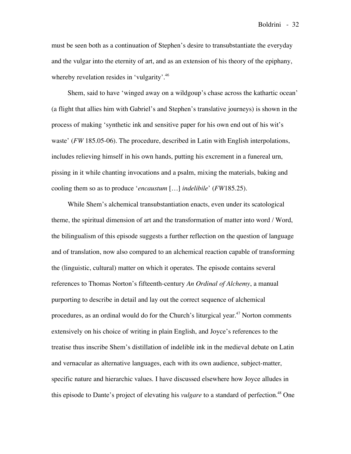must be seen both as a continuation of Stephen's desire to transubstantiate the everyday and the vulgar into the eternity of art, and as an extension of his theory of the epiphany, whereby revelation resides in 'vulgarity'.<sup>46</sup>

Shem, said to have 'winged away on a wildgoup's chase across the kathartic ocean' (a flight that allies him with Gabriel's and Stephen's translative journeys) is shown in the process of making 'synthetic ink and sensitive paper for his own end out of his wit's waste' (*FW* 185.05-06). The procedure, described in Latin with English interpolations, includes relieving himself in his own hands, putting his excrement in a funereal urn, pissing in it while chanting invocations and a psalm, mixing the materials, baking and cooling them so as to produce '*encaustum* […] *indelibile*' (*FW*185.25).

While Shem's alchemical transubstantiation enacts, even under its scatological theme, the spiritual dimension of art and the transformation of matter into word / Word, the bilingualism of this episode suggests a further reflection on the question of language and of translation, now also compared to an alchemical reaction capable of transforming the (linguistic, cultural) matter on which it operates. The episode contains several references to Thomas Norton's fifteenth-century *An Ordinal of Alchemy*, a manual purporting to describe in detail and lay out the correct sequence of alchemical procedures, as an ordinal would do for the Church's liturgical year.<sup>47</sup> Norton comments extensively on his choice of writing in plain English, and Joyce's references to the treatise thus inscribe Shem's distillation of indelible ink in the medieval debate on Latin and vernacular as alternative languages, each with its own audience, subject-matter, specific nature and hierarchic values. I have discussed elsewhere how Joyce alludes in this episode to Dante's project of elevating his *vulgare* to a standard of perfection. <sup>48</sup> One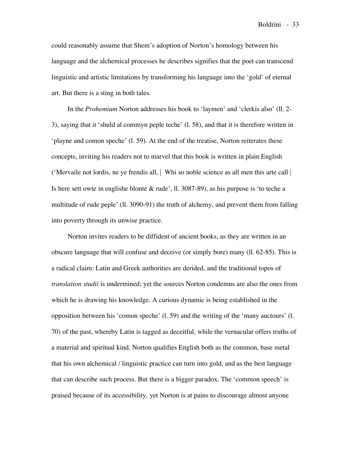could reasonably assume that Shem's adoption of Norton's homology between his language and the alchemical processes he describes signifies that the poet can transcend linguistic and artistic limitations by transforming his language into the 'gold' of eternal art. But there is a sting in both tales.

In the *Prohemium* Norton addresses his book to 'laymen' and 'clerkis also' (ll. 2- 3), saying that it 'shuld al commyn peple teche' (l. 58), and that it is therefore written in 'playne and comon speche' (l. 59). At the end of the treatise, Norton reiterates these concepts, inviting his readers not to marvel that this book is written in plain English ('Mervaile not lordis, ne ye frendis all, | Whi so noble science as all men this arte call | Is here sett owte in englishe blonte & rude', ll. 3087-89), as his purpose is 'to teche a multitude of rude peple' (ll. 3090-91) the truth of alchemy, and prevent them from falling into poverty through its unwise practice.

Norton invites readers to be diffident of ancient books, as they are written in an obscure language that will confuse and deceive (or simply bore) many (ll. 62-85). This is a radical claim: Latin and Greek authorities are derided, and the traditional topos of *translation studii* is undermined; yet the sources Norton condemns are also the ones from which he is drawing his knowledge. A curious dynamic is being established in the opposition between his 'comon speche' (l. 59) and the writing of the 'many auctours' (l. 70) of the past, whereby Latin is tagged as deceitful, while the vernacular offers truths of a material and spiritual kind. Norton qualifies English both as the common, base metal that his own alchemical / linguistic practice can turn into gold, and as the best language that can describe such process. But there is a bigger paradox. The 'common speech' is praised because of its accessibility, yet Norton is at pains to discourage almost anyone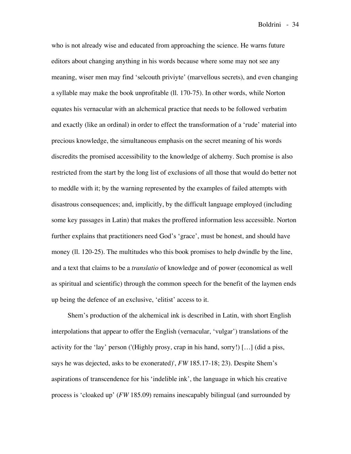who is not already wise and educated from approaching the science. He warns future editors about changing anything in his words because where some may not see any meaning, wiser men may find 'selcouth priviyte' (marvellous secrets), and even changing a syllable may make the book unprofitable (ll. 170-75). In other words, while Norton equates his vernacular with an alchemical practice that needs to be followed verbatim and exactly (like an ordinal) in order to effect the transformation of a 'rude' material into precious knowledge, the simultaneous emphasis on the secret meaning of his words discredits the promised accessibility to the knowledge of alchemy. Such promise is also restricted from the start by the long list of exclusions of all those that would do better not to meddle with it; by the warning represented by the examples of failed attempts with disastrous consequences; and, implicitly, by the difficult language employed (including some key passages in Latin) that makes the proffered information less accessible. Norton further explains that practitioners need God's 'grace', must be honest, and should have money (ll. 120-25). The multitudes who this book promises to help dwindle by the line, and a text that claims to be a *translatio* of knowledge and of power (economical as well as spiritual and scientific) through the common speech for the benefit of the laymen ends up being the defence of an exclusive, 'elitist' access to it.

Shem's production of the alchemical ink is described in Latin, with short English interpolations that appear to offer the English (vernacular, 'vulgar') translations of the activity for the 'lay' person ('(Highly prosy, crap in his hand, sorry!) [...] (did a piss, says he was dejected, asks to be exonerated)', *FW* 185.17-18; 23). Despite Shem's aspirations of transcendence for his 'indelible ink', the language in which his creative process is 'cloaked up' (*FW* 185.09) remains inescapably bilingual (and surrounded by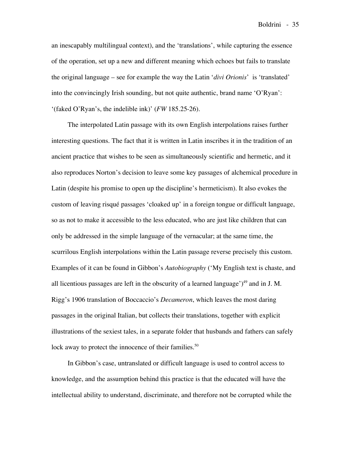an inescapably multilingual context), and the 'translations', while capturing the essence of the operation, set up a new and different meaning which echoes but fails to translate the original language – see for example the way the Latin '*divi Orionis*' is 'translated' into the convincingly Irish sounding, but not quite authentic, brand name 'O'Ryan': '(faked O'Ryan's, the indelible ink)' (*FW* 185.25-26).

The interpolated Latin passage with its own English interpolations raises further interesting questions. The fact that it is written in Latin inscribes it in the tradition of an ancient practice that wishes to be seen as simultaneously scientific and hermetic, and it also reproduces Norton's decision to leave some key passages of alchemical procedure in Latin (despite his promise to open up the discipline's hermeticism). It also evokes the custom of leaving risqué passages 'cloaked up' in a foreign tongue or difficult language, so as not to make it accessible to the less educated, who are just like children that can only be addressed in the simple language of the vernacular; at the same time, the scurrilous English interpolations within the Latin passage reverse precisely this custom. Examples of it can be found in Gibbon's *Autobiography* ('My English text is chaste, and all licentious passages are left in the obscurity of a learned language')<sup>49</sup> and in J. M. Rigg's 1906 translation of Boccaccio's *Decameron*, which leaves the most daring passages in the original Italian, but collects their translations, together with explicit illustrations of the sexiest tales, in a separate folder that husbands and fathers can safely lock away to protect the innocence of their families.<sup>50</sup>

In Gibbon's case, untranslated or difficult language is used to control access to knowledge, and the assumption behind this practice is that the educated will have the intellectual ability to understand, discriminate, and therefore not be corrupted while the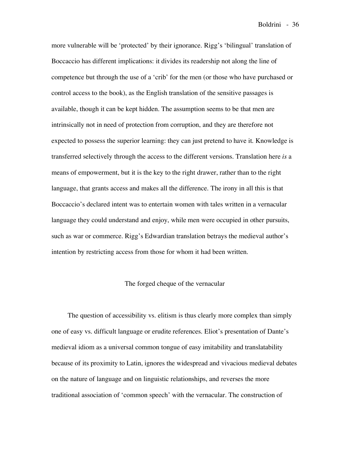more vulnerable will be 'protected' by their ignorance. Rigg's 'bilingual' translation of Boccaccio has different implications: it divides its readership not along the line of competence but through the use of a 'crib' for the men (or those who have purchased or control access to the book), as the English translation of the sensitive passages is available, though it can be kept hidden. The assumption seems to be that men are intrinsically not in need of protection from corruption, and they are therefore not expected to possess the superior learning: they can just pretend to have it. Knowledge is transferred selectively through the access to the different versions. Translation here *is* a means of empowerment, but it is the key to the right drawer, rather than to the right language, that grants access and makes all the difference. The irony in all this is that Boccaccio's declared intent was to entertain women with tales written in a vernacular language they could understand and enjoy, while men were occupied in other pursuits, such as war or commerce. Rigg's Edwardian translation betrays the medieval author's intention by restricting access from those for whom it had been written.

### The forged cheque of the vernacular

The question of accessibility vs. elitism is thus clearly more complex than simply one of easy vs. difficult language or erudite references. Eliot's presentation of Dante's medieval idiom as a universal common tongue of easy imitability and translatability because of its proximity to Latin, ignores the widespread and vivacious medieval debates on the nature of language and on linguistic relationships, and reverses the more traditional association of 'common speech' with the vernacular. The construction of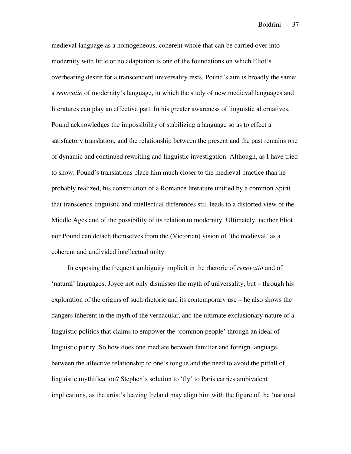medieval language as a homogeneous, coherent whole that can be carried over into modernity with little or no adaptation is one of the foundations on which Eliot's overbearing desire for a transcendent universality rests. Pound's aim is broadly the same: a *renovatio* of modernity's language, in which the study of new medieval languages and literatures can play an effective part. In his greater awareness of linguistic alternatives, Pound acknowledges the impossibility of stabilizing a language so as to effect a satisfactory translation, and the relationship between the present and the past remains one of dynamic and continued rewriting and linguistic investigation. Although, as I have tried to show, Pound's translations place him much closer to the medieval practice than he probably realized, his construction of a Romance literature unified by a common Spirit that transcends linguistic and intellectual differences still leads to a distorted view of the Middle Ages and of the possibility of its relation to modernity. Ultimately, neither Eliot nor Pound can detach themselves from the (Victorian) vision of 'the medieval' as a coherent and undivided intellectual unity.

In exposing the frequent ambiguity implicit in the rhetoric of *renovatio* and of 'natural' languages, Joyce not only dismisses the myth of universality, but – through his exploration of the origins of such rhetoric and its contemporary use – he also shows the dangers inherent in the myth of the vernacular, and the ultimate exclusionary nature of a linguistic politics that claims to empower the 'common people' through an ideal of linguistic purity. So how does one mediate between familiar and foreign language, between the affective relationship to one's tongue and the need to avoid the pitfall of linguistic mythification? Stephen's solution to 'fly' to Paris carries ambivalent implications, as the artist's leaving Ireland may align him with the figure of the 'national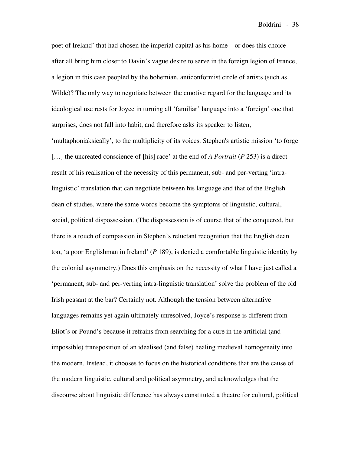poet of Ireland' that had chosen the imperial capital as his home – or does this choice after all bring him closer to Davin's vague desire to serve in the foreign legion of France, a legion in this case peopled by the bohemian, anticonformist circle of artists (such as Wilde)? The only way to negotiate between the emotive regard for the language and its ideological use rests for Joyce in turning all 'familiar' language into a 'foreign' one that surprises, does not fall into habit, and therefore asks its speaker to listen,

'multaphoniaksically', to the multiplicity of its voices. Stephen's artistic mission 'to forge […] the uncreated conscience of [his] race' at the end of *A Portrait* (*P* 253) is a direct result of his realisation of the necessity of this permanent, sub- and per-verting 'intralinguistic' translation that can negotiate between his language and that of the English dean of studies, where the same words become the symptoms of linguistic, cultural, social, political dispossession. (The dispossession is of course that of the conquered, but there is a touch of compassion in Stephen's reluctant recognition that the English dean too, 'a poor Englishman in Ireland' (*P* 189), is denied a comfortable linguistic identity by the colonial asymmetry.) Does this emphasis on the necessity of what I have just called a 'permanent, sub- and per-verting intra-linguistic translation' solve the problem of the old Irish peasant at the bar? Certainly not. Although the tension between alternative languages remains yet again ultimately unresolved, Joyce's response is different from Eliot's or Pound's because it refrains from searching for a cure in the artificial (and impossible) transposition of an idealised (and false) healing medieval homogeneity into the modern. Instead, it chooses to focus on the historical conditions that are the cause of the modern linguistic, cultural and political asymmetry, and acknowledges that the discourse about linguistic difference has always constituted a theatre for cultural, political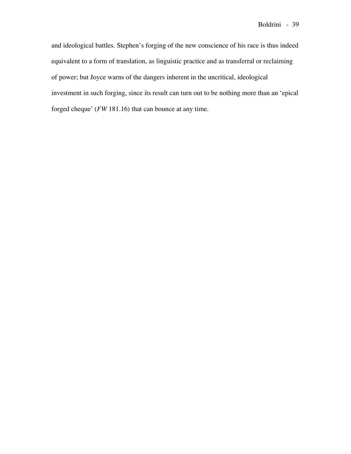and ideological battles. Stephen's forging of the new conscience of his race is thus indeed equivalent to a form of translation, as linguistic practice and as transferral or reclaiming of power; but Joyce warns of the dangers inherent in the uncritical, ideological investment in such forging, since its result can turn out to be nothing more than an 'epical forged cheque' (*FW* 181.16) that can bounce at any time.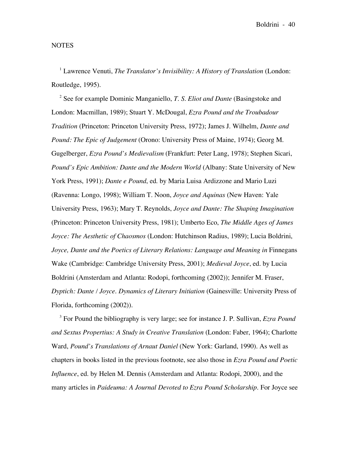### NOTES

<sup>1</sup> Lawrence Venuti, *The Translator's Invisibility: A History of Translation* (London: Routledge, 1995).

<sup>2</sup> See for example Dominic Manganiello, *T. S. Eliot and Dante* (Basingstoke and London: Macmillan, 1989); Stuart Y. McDougal, *Ezra Pound and the Troubadour Tradition* (Princeton: Princeton University Press, 1972); James J. Wilhelm, *Dante and Pound: The Epic of Judgement* (Orono: University Press of Maine, 1974); Georg M. Gugelberger, *Ezra Pound's Medievalism* (Frankfurt: Peter Lang, 1978); Stephen Sicari, *Pound's Epic Ambition: Dante and the Modern World* (Albany: State University of New York Press, 1991); *Dante e Pound*, ed. by Maria Luisa Ardizzone and Mario Luzi (Ravenna: Longo, 1998); William T. Noon, *Joyce and Aquinas* (New Haven: Yale University Press, 1963); Mary T. Reynolds, *Joyce and Dante: The Shaping Imagination* (Princeton: Princeton University Press, 1981); Umberto Eco, *The Middle Ages of James Joyce: The Aesthetic of Chaosmos* (London: Hutchinson Radius, 1989); Lucia Boldrini, *Joyce, Dante and the Poetics of Literary Relations: Language and Meaning in* Finnegans Wake (Cambridge: Cambridge University Press, 2001); *Medieval Joyce*, ed. by Lucia Boldrini (Amsterdam and Atlanta: Rodopi, forthcoming (2002)); Jennifer M. Fraser, *Dyptich: Dante / Joyce. Dynamics of Literary Initiation* (Gainesville: University Press of Florida, forthcoming (2002)).

<sup>3</sup> For Pound the bibliography is very large; see for instance J. P. Sullivan, *Ezra Pound and Sextus Propertius: A Study in Creative Translation* (London: Faber, 1964); Charlotte Ward, *Pound's Translations of Arnaut Daniel* (New York: Garland, 1990). As well as chapters in books listed in the previous footnote, see also those in *Ezra Pound and Poetic Influence*, ed. by Helen M. Dennis (Amsterdam and Atlanta: Rodopi, 2000), and the many articles in *Paideuma: A Journal Devoted to Ezra Pound Scholarship*. For Joyce see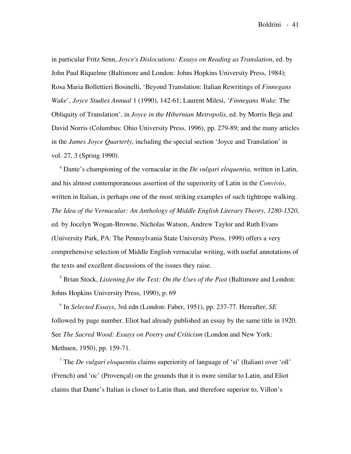in particular Fritz Senn, *Joyce's Dislocutions: Essays on Reading as Translation*, ed. by John Paul Riquelme (Baltimore and London: Johns Hopkins University Press, 1984); Rosa Maria Bollettieri Bosinelli, 'Beyond Translation: Italian Rewritings of *Finnegans Wake*', *Joyce Studies Annual* 1 (1990), 142-61; Laurent Milesi, '*Finnegans Wake*: The Obliquity of Translation', in *Joyce in the Hibernian Metropolis*, ed. by Morris Beja and David Norris (Columbus: Ohio University Press, 1996), pp. 279-89; and the many articles in the *James Joyce Quarterly*, including the special section 'Joyce and Translation' in vol. 27, 3 (Spring 1990).

<sup>4</sup> Dante's championing of the vernacular in the *De vulgari eloquentia*, written in Latin, and his almost contemporaneous assertion of the superiority of Latin in the *Convivio*, written in Italian, is perhaps one of the most striking examples of such tightrope walking. *The Idea of the Vernacular: An Anthology of Middle English Literary Theory, 1280-1520*, ed. by Jocelyn Wogan-Browne, Nicholas Watson, Andrew Taylor and Ruth Evans (University Park, PA: The Pennsylvania State University Press, 1999) offers a very comprehensive selection of Middle English vernacular writing, with useful annotations of the texts and excellent discussions of the issues they raise.

<sup>5</sup> Brian Stock, *Listening for the Text: On the Uses of the Past* (Baltimore and London: Johns Hopkins University Press, 1990), p. 69

<sup>6</sup> In *Selected Essays*, 3rd edn (London: Faber, 1951), pp. 237-77. Hereafter, *SE* followed by page number. Eliot had already published an essay by the same title in 1920. See *The Sacred Wood: Essays on Poetry and Criticism* (London and New York: Methuen, 1950), pp. 159-71.

<sup>7</sup> The *De vulgari eloquentia* claims superiority of language of 'sí' (Italian) over 'oïl' (French) and 'oc' (Provençal) on the grounds that it is more similar to Latin, and Eliot claims that Dante's Italian is closer to Latin than, and therefore superior to, Villon's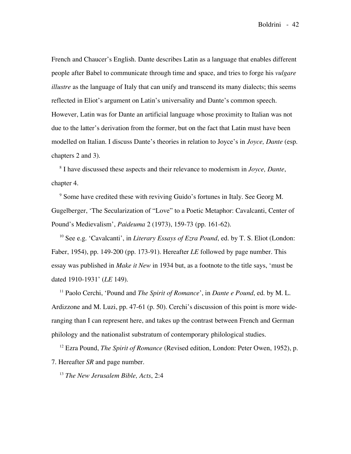French and Chaucer's English. Dante describes Latin as a language that enables different people after Babel to communicate through time and space, and tries to forge his *vulgare illustre* as the language of Italy that can unify and transcend its many dialects; this seems reflected in Eliot's argument on Latin's universality and Dante's common speech. However, Latin was for Dante an artificial language whose proximity to Italian was not due to the latter's derivation from the former, but on the fact that Latin must have been modelled on Italian. I discuss Dante's theories in relation to Joyce's in *Joyce, Dante* (esp. chapters 2 and 3).

<sup>8</sup> I have discussed these aspects and their relevance to modernism in *Joyce, Dante*, chapter 4.

<sup>9</sup> Some have credited these with reviving Guido's fortunes in Italy. See Georg M. Gugelberger, 'The Secularization of "Love" to a Poetic Metaphor: Cavalcanti, Center of Pound's Medievalism', *Paideuma* 2 (1973), 159-73 (pp. 161-62).

<sup>10</sup> See e.g. 'Cavalcanti', in *Literary Essays of Ezra Pound*, ed. by T. S. Eliot (London: Faber, 1954), pp. 149-200 (pp. 173-91). Hereafter *LE* followed by page number. This essay was published in *Make it New* in 1934 but, as a footnote to the title says, 'must be dated 1910-1931' (*LE* 149).

<sup>11</sup> Paolo Cerchi, 'Pound and *The Spirit of Romance*', in *Dante e Pound*, ed. by M. L. Ardizzone and M. Luzi, pp. 47-61 (p. 50). Cerchi's discussion of this point is more wideranging than I can represent here, and takes up the contrast between French and German philology and the nationalist substratum of contemporary philological studies.

<sup>12</sup> Ezra Pound, *The Spirit of Romance* (Revised edition, London: Peter Owen, 1952), p. 7. Hereafter *SR* and page number.

<sup>13</sup> *The New Jerusalem Bible, Acts*, 2:4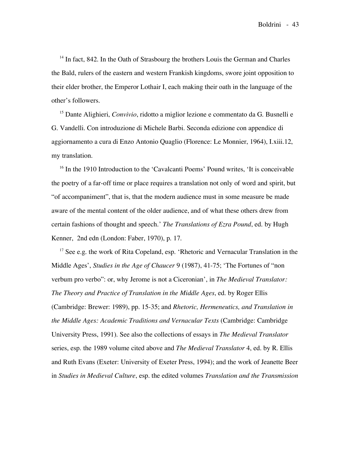$14$  In fact, 842. In the Oath of Strasbourg the brothers Louis the German and Charles the Bald, rulers of the eastern and western Frankish kingdoms, swore joint opposition to their elder brother, the Emperor Lothair I, each making their oath in the language of the other's followers.

<sup>15</sup> Dante Alighieri, *Convivio*, ridotto a miglior lezione e commentato da G. Busnelli e G. Vandelli. Con introduzione di Michele Barbi. Seconda edizione con appendice di aggiornamento a cura di Enzo Antonio Quaglio (Florence: Le Monnier, 1964), I.xiii.12, my translation.

<sup>16</sup> In the 1910 Introduction to the 'Cavalcanti Poems' Pound writes, 'It is conceivable the poetry of a far-off time or place requires a translation not only of word and spirit, but "of accompaniment", that is, that the modern audience must in some measure be made aware of the mental content of the older audience, and of what these others drew from certain fashions of thought and speech.' *The Translations of Ezra Pound*, ed. by Hugh Kenner, 2nd edn (London: Faber, 1970), p. 17.

 $17$  See e.g. the work of Rita Copeland, esp. 'Rhetoric and Vernacular Translation in the Middle Ages', *Studies in the Age of Chaucer* 9 (1987), 41-75; 'The Fortunes of "non verbum pro verbo": or, why Jerome is not a Ciceronian', in *The Medieval Translator: The Theory and Practice of Translation in the Middle Ages*, ed. by Roger Ellis (Cambridge: Brewer: 1989), pp. 15-35; and *Rhetoric, Hermeneutics, and Translation in the Middle Ages: Academic Traditions and Vernacular Texts* (Cambridge: Cambridge University Press, 1991). See also the collections of essays in *The Medieval Translator* series, esp. the 1989 volume cited above and *The Medieval Translator* 4, ed. by R. Ellis and Ruth Evans (Exeter: University of Exeter Press, 1994); and the work of Jeanette Beer in *Studies in Medieval Culture*, esp. the edited volumes *Translation and the Transmission*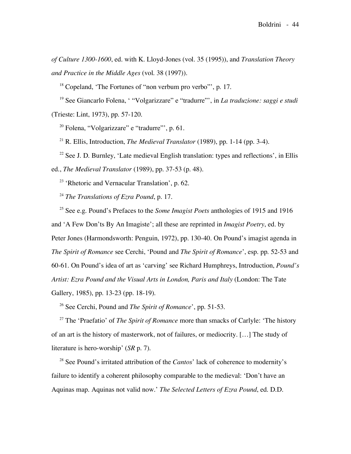*of Culture 1300-1600*, ed. with K. Lloyd-Jones (vol. 35 (1995)), and *Translation Theory and Practice in the Middle Ages* (vol. 38 (1997)).

<sup>18</sup> Copeland, 'The Fortunes of "non verbum pro verbo"', p. 17.

<sup>19</sup> See Giancarlo Folena, ' "Volgarizzare" e "tradurre"', in *La traduzione: saggi e studi* (Trieste: Lint, 1973), pp. 57-120.

<sup>20</sup> Folena, "Volgarizzare" e "tradurre"', p. 61.

<sup>21</sup> R. Ellis, Introduction, *The Medieval Translator* (1989), pp. 1-14 (pp. 3-4).

 $22$  See J. D. Burnley, 'Late medieval English translation: types and reflections', in Ellis ed., *The Medieval Translator* (1989), pp. 37-53 (p. 48).

<sup>23</sup> 'Rhetoric and Vernacular Translation', p. 62.

<sup>24</sup> *The Translations of Ezra Pound*, p. 17.

<sup>25</sup> See e.g. Pound's Prefaces to the *Some Imagist Poets* anthologies of 1915 and 1916 and 'A Few Don'ts By An Imagiste'; all these are reprinted in *Imagist Poetry*, ed. by Peter Jones (Harmondsworth: Penguin, 1972), pp. 130-40. On Pound's imagist agenda in *The Spirit of Romance* see Cerchi, 'Pound and *The Spirit of Romance*', esp. pp. 52-53 and 60-61. On Pound's idea of art as 'carving' see Richard Humphreys, Introduction, *Pound's Artist: Ezra Pound and the Visual Arts in London, Paris and Italy* (London: The Tate Gallery, 1985), pp. 13-23 (pp. 18-19).

<sup>26</sup> See Cerchi, Pound and *The Spirit of Romance*', pp. 51-53.

<sup>27</sup> The 'Praefatio' of *The Spirit of Romance* more than smacks of Carlyle: 'The history of an art is the history of masterwork, not of failures, or mediocrity. […] The study of literature is hero-worship' (*SR* p. 7).

<sup>28</sup> See Pound's irritated attribution of the *Cantos*' lack of coherence to modernity's failure to identify a coherent philosophy comparable to the medieval: 'Don't have an Aquinas map. Aquinas not valid now.' *The Selected Letters of Ezra Pound*, ed. D.D.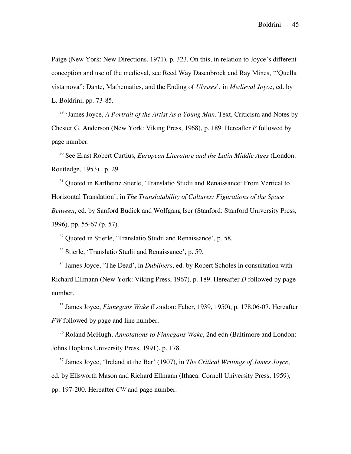Paige (New York: New Directions, 1971), p. 323. On this, in relation to Joyce's different conception and use of the medieval, see Reed Way Dasenbrock and Ray Mines, '"Quella vista nova": Dante, Mathematics, and the Ending of *Ulysses*', in *Medieval Joyc*e, ed. by L. Boldrini, pp. 73-85.

<sup>29</sup> 'James Joyce, *A Portrait of the Artist As a Young Man*. Text, Criticism and Notes by Chester G. Anderson (New York: Viking Press, 1968), p. 189. Hereafter *P* followed by page number.

<sup>30</sup> See Ernst Robert Curtius, *European Literature and the Latin Middle Ages* (London: Routledge, 1953) , p. 29.

<sup>31</sup> Quoted in Karlheinz Stierle, 'Translatio Studii and Renaissance: From Vertical to Horizontal Translation', in *The Translatability of Cultures: Figurations of the Space Between*, ed. by Sanford Budick and Wolfgang Iser (Stanford: Stanford University Press, 1996), pp. 55-67 (p. 57).

<sup>32</sup> Quoted in Stierle, 'Translatio Studii and Renaissance', p. 58.

<sup>33</sup> Stierle, 'Translatio Studii and Renaissance', p. 59.

<sup>34</sup> James Joyce, 'The Dead', in *Dubliners*, ed. by Robert Scholes in consultation with Richard Ellmann (New York: Viking Press, 1967), p. 189. Hereafter *D* followed by page number.

<sup>35</sup> James Joyce, *Finnegans Wake* (London: Faber, 1939, 1950), p. 178.06-07. Hereafter *FW* followed by page and line number.

<sup>36</sup> Roland McHugh, *Annotations to Finnegans Wake*, 2nd edn (Baltimore and London: Johns Hopkins University Press, 1991), p. 178.

<sup>37</sup> James Joyce, 'Ireland at the Bar' (1907), in *The Critical Writings of James Joyce*, ed. by Ellsworth Mason and Richard Ellmann (Ithaca: Cornell University Press, 1959), pp. 197-200. Hereafter *CW* and page number.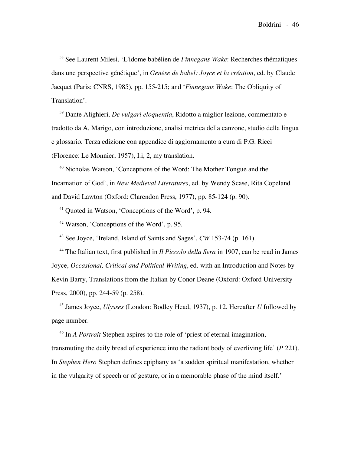<sup>38</sup> See Laurent Milesi, 'L'idome babélien de *Finnegans Wake*: Recherches thématiques dans une perspective génétique', in *Genèse de babel: Joyce et la création*, ed. by Claude Jacquet (Paris: CNRS, 1985), pp. 155-215; and '*Finnegans Wake*: The Obliquity of Translation'.

<sup>39</sup> Dante Alighieri, *De vulgari eloquentia*, Ridotto a miglior lezione, commentato e tradotto da A. Marigo, con introduzione, analisi metrica della canzone, studio della lingua e glossario. Terza edizione con appendice di aggiornamento a cura di P.G. Ricci (Florence: Le Monnier, 1957), I.i, 2, my translation.

<sup>40</sup> Nicholas Watson, 'Conceptions of the Word: The Mother Tongue and the Incarnation of God', in *New Medieval Literatures*, ed. by Wendy Scase, Rita Copeland and David Lawton (Oxford: Clarendon Press, 1977), pp. 85-124 (p. 90).

<sup>41</sup> Quoted in Watson, 'Conceptions of the Word', p. 94.

<sup>42</sup> Watson, 'Conceptions of the Word', p. 95.

<sup>43</sup> See Joyce, 'Ireland, Island of Saints and Sages', *CW* 153-74 (p. 161).

<sup>44</sup> The Italian text, first published in *Il Piccolo della Sera* in 1907, can be read in James Joyce, *Occasional, Critical and Political Writing*, ed. with an Introduction and Notes by Kevin Barry, Translations from the Italian by Conor Deane (Oxford: Oxford University Press, 2000), pp. 244-59 (p. 258).

<sup>45</sup> James Joyce, *Ulysses* (London: Bodley Head, 1937), p. 12. Hereafter *U* followed by page number.

<sup>46</sup> In *A Portrait* Stephen aspires to the role of 'priest of eternal imagination, transmuting the daily bread of experience into the radiant body of everliving life' (*P* 221). In *Stephen Hero* Stephen defines epiphany as 'a sudden spiritual manifestation, whether in the vulgarity of speech or of gesture, or in a memorable phase of the mind itself.'